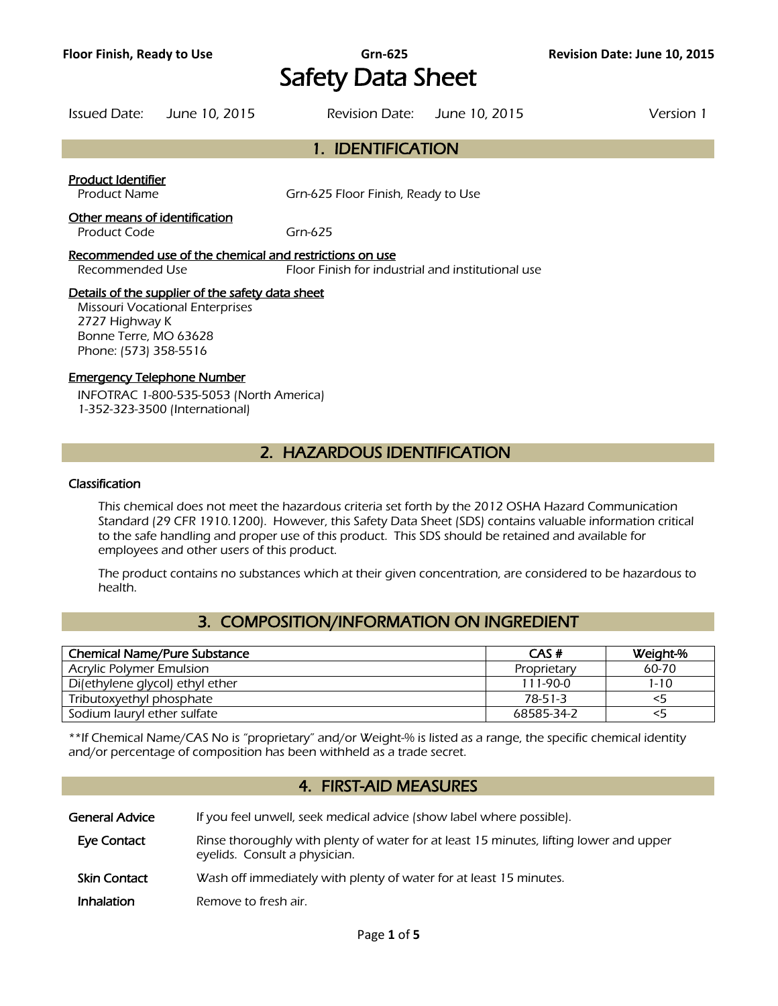# **Floor Finish, Ready to Use Grn-625 Revision Date: June 10, 2015** Safety Data Sheet

Issued Date: June 10, 2015 Revision Date: June 10, 2015 Version 1 1. IDENTIFICATION Product Identifier

Product Name Grn-625 Floor Finish, Ready to Use

#### Other means of identification

Product Code Grn-625

Recommended use of the chemical and restrictions on use Recommended Use **Floor Finish for industrial and institutional use** 

#### Details of the supplier of the safety data sheet

Missouri Vocational Enterprises 2727 Highway K Bonne Terre, MO 63628 Phone: (573) 358-5516

#### Emergency Telephone Number

INFOTRAC 1-800-535-5053 (North America) 1-352-323-3500 (International)

# 2. HAZARDOUS IDENTIFICATION

#### Classification

This chemical does not meet the hazardous criteria set forth by the 2012 OSHA Hazard Communication Standard (29 CFR 1910.1200). However, this Safety Data Sheet (SDS) contains valuable information critical to the safe handling and proper use of this product. This SDS should be retained and available for employees and other users of this product.

The product contains no substances which at their given concentration, are considered to be hazardous to health.

# 3. COMPOSITION/INFORMATION ON INGREDIENT

| <b>Chemical Name/Pure Substance</b> | CAS#        | Weight-%  |
|-------------------------------------|-------------|-----------|
| Acrylic Polymer Emulsion            | Proprietary | $60 - 70$ |
| Di(ethylene glycol) ethyl ether     | 111-90-0    | $1 - 10$  |
| Tributoxyethyl phosphate            | 78-51-3     | 35        |
| Sodium lauryl ether sulfate         | 68585-34-2  |           |
|                                     |             |           |

\*\*If Chemical Name/CAS No is "proprietary" and/or Weight-% is listed as a range, the specific chemical identity and/or percentage of composition has been withheld as a trade secret.

# 4. FIRST-AID MEASURES

General Advice If you feel unwell, seek medical advice (show label where possible). Eye Contact Rinse thoroughly with plenty of water for at least 15 minutes, lifting lower and upper eyelids. Consult a physician.

- **Skin Contact** Wash off immediately with plenty of water for at least 15 minutes.
- **Inhalation** Remove to fresh air.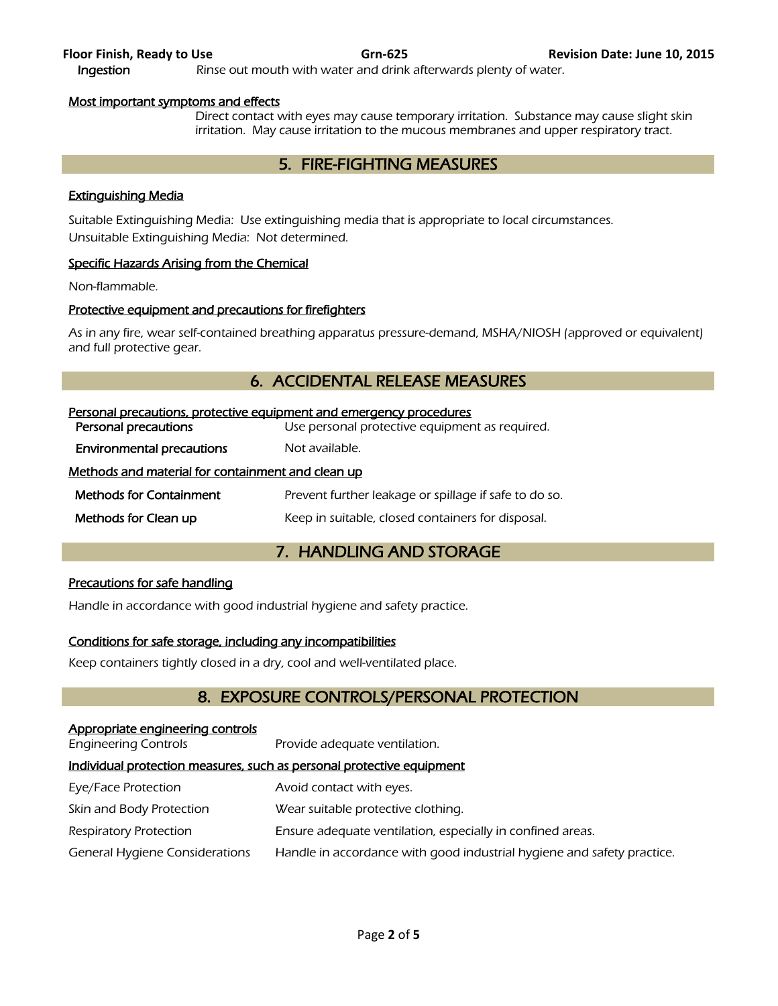### Most important symptoms and effects

Direct contact with eyes may cause temporary irritation. Substance may cause slight skin irritation. May cause irritation to the mucous membranes and upper respiratory tract.

## 5. FIRE-FIGHTING MEASURES

### Extinguishing Media

Suitable Extinguishing Media: Use extinguishing media that is appropriate to local circumstances. Unsuitable Extinguishing Media: Not determined.

#### Specific Hazards Arising from the Chemical

Non-flammable.

#### Protective equipment and precautions for firefighters

As in any fire, wear self-contained breathing apparatus pressure-demand, MSHA/NIOSH (approved or equivalent) and full protective gear.

# 6. ACCIDENTAL RELEASE MEASURES

| Personal precautions, protective equipment and emergency procedures |  |  |
|---------------------------------------------------------------------|--|--|
| Use personal protective equipment as required.                      |  |  |
| Not available.                                                      |  |  |
| Methods and material for containment and clean up                   |  |  |
| Prevent further leakage or spillage if safe to do so.               |  |  |
| Keep in suitable, closed containers for disposal.                   |  |  |
|                                                                     |  |  |

# 7. HANDLING AND STORAGE

#### Precautions for safe handling

Handle in accordance with good industrial hygiene and safety practice.

#### Conditions for safe storage, including any incompatibilities

Keep containers tightly closed in a dry, cool and well-ventilated place.

# 8. EXPOSURE CONTROLS/PERSONAL PROTECTION

#### Appropriate engineering controls

Engineering Controls Provide adequate ventilation.

### Individual protection measures, such as personal protective equipment

- Eye/Face Protection **Avoid contact with eyes.**
- Skin and Body Protection Wear suitable protective clothing.
- Respiratory Protection **Ensure adequate ventilation, especially in confined areas.**
- General Hygiene Considerations Handle in accordance with good industrial hygiene and safety practice.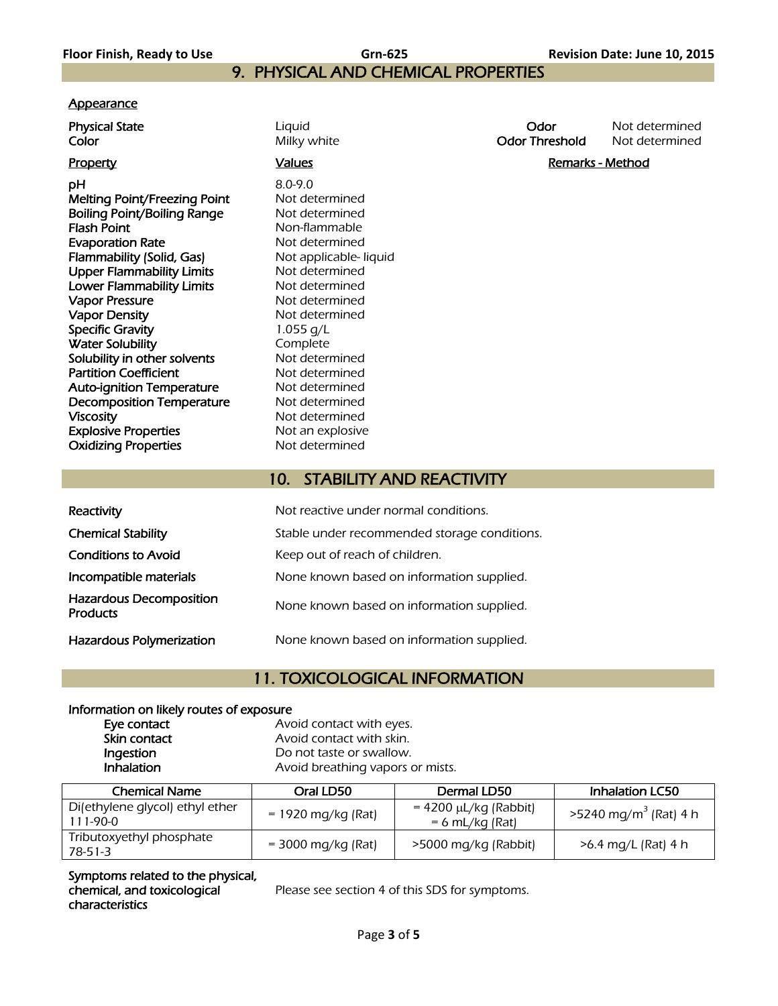# 9. PHYSICAL AND CHEMICAL PROPERTIES

#### **Appearance**

pH 8.0-9.0 Melting Point/Freezing Point Not determined Boiling Point/Boiling Range Not determined **Flash Point** Non-flammable **Evaporation Rate** Not determined Flammability (Solid, Gas) Not applicable- liquid Upper Flammability Limits<br>
Lower Flammability Limits<br>
Not determined Lower Flammability Limits Vapor Pressure Not determined Vapor Density **Not determined** Specific Gravity 1.055 g/L Water Solubility<br>
Solubility in other solvents<br>
Not determined Solubility in other solvents Partition Coefficient Not determined Auto-ignition Temperature Mot determined Decomposition Temperature Mot determined Viscosity **Not determined Explosive Properties** Not an explosive Oxidizing Properties Not determined

**Color Color Milky white Color Threshold** Not determined

**Physical State Liquid Contract Contract Contract Contract Contract Contract Contract Contract Contract Contract Contract Contract Contract Contract Contract Contract Contract Contract Contract Contract Contract Contract** 

Property **Example 2** and Marks Controllers and Marks Controllers and Marks And Marks And Marks And Marks And Marks And Marks And Marks And Marks And Marks And Marks And Marks And Marks And Marks And Marks And Marks And Mar

# 10. STABILITY AND REACTIVITY

| Reactivity                                        | Not reactive under normal conditions.        |
|---------------------------------------------------|----------------------------------------------|
| <b>Chemical Stability</b>                         | Stable under recommended storage conditions. |
| <b>Conditions to Avoid</b>                        | Keep out of reach of children.               |
| Incompatible materials                            | None known based on information supplied.    |
| <b>Hazardous Decomposition</b><br><b>Products</b> | None known based on information supplied.    |
| Hazardous Polymerization                          | None known based on information supplied.    |

# 11. TOXICOLOGICAL INFORMATION

#### Information on likely routes of exposure

| Eye contact  | Avoid contact with eyes.         |
|--------------|----------------------------------|
| Skin contact | Avoid contact with skin.         |
| Ingestion    | Do not taste or swallow.         |
| Inhalation   | Avoid breathing vapors or mists. |
|              |                                  |

| <b>Chemical Name</b>                        | Oral LD50            | Dermal LD50                              | <b>Inhalation LC50</b>            |
|---------------------------------------------|----------------------|------------------------------------------|-----------------------------------|
| Di(ethylene glycol) ethyl ether<br>111-90-0 | $= 1920$ mg/kg (Rat) | = 4200 μL/kg (Rabbit)<br>= 6 mL/kg (Rat) | >5240 mg/m <sup>3</sup> (Rat) 4 h |
| Tributoxyethyl phosphate<br>$78-51-3$       | $=$ 3000 mg/kg (Rat) | >5000 mg/kg (Rabbit)                     | >6.4 mg/L (Rat) 4 h               |

Symptoms related to the physical, chemical, and toxicological characteristics

Please see section 4 of this SDS for symptoms.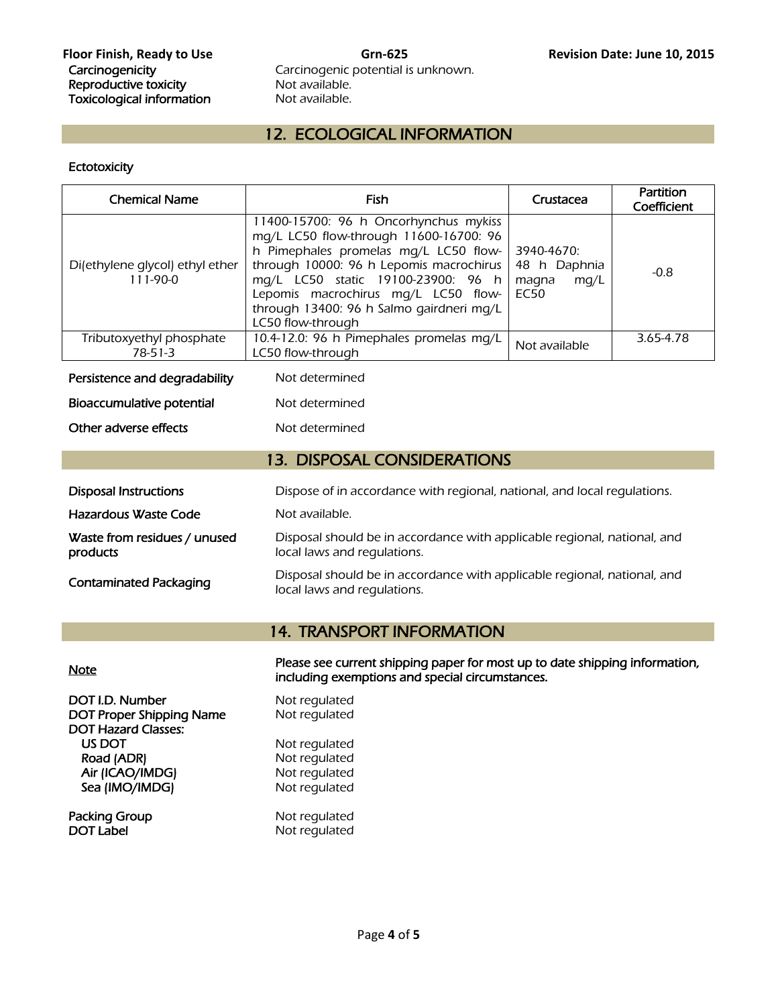Carcinogenic potential is unknown.<br>Not available.

# 12. ECOLOGICAL INFORMATION

#### **Ectotoxicity**

| <b>Chemical Name</b>                                                                                     | Fish                                                                                                                                                                                                                                                                                                              | Crustacea                                                  | Partition<br>Coefficient |
|----------------------------------------------------------------------------------------------------------|-------------------------------------------------------------------------------------------------------------------------------------------------------------------------------------------------------------------------------------------------------------------------------------------------------------------|------------------------------------------------------------|--------------------------|
| Di(ethylene glycol) ethyl ether<br>$111-90-0$                                                            | 11400-15700: 96 h Oncorhynchus mykiss<br>mg/L LC50 flow-through 11600-16700: 96<br>h Pimephales promelas mg/L LC50 flow-<br>through 10000: 96 h Lepomis macrochirus<br>mq/L LC50 static 19100-23900: 96 h<br>Lepomis macrochirus mg/L LC50 flow-<br>through 13400: 96 h Salmo gairdneri mg/L<br>LC50 flow-through | 3940-4670:<br>48 h Daphnia<br>mq/L<br>magna<br><b>EC50</b> | $-0.8$                   |
| Tributoxyethyl phosphate<br>$78-51-3$                                                                    | 10.4-12.0: 96 h Pimephales promelas mg/L<br>LC50 flow-through                                                                                                                                                                                                                                                     | Not available                                              | 3.65-4.78                |
| Persistence and degradability                                                                            | Not determined                                                                                                                                                                                                                                                                                                    |                                                            |                          |
| Bioaccumulative potential                                                                                | Not determined                                                                                                                                                                                                                                                                                                    |                                                            |                          |
| Other adverse effects                                                                                    | Not determined                                                                                                                                                                                                                                                                                                    |                                                            |                          |
| <b>13. DISPOSAL CONSIDERATIONS</b>                                                                       |                                                                                                                                                                                                                                                                                                                   |                                                            |                          |
| <b>Disposal Instructions</b><br>Dispose of in accordance with regional, national, and local regulations. |                                                                                                                                                                                                                                                                                                                   |                                                            |                          |
| Hazardous Waste Code                                                                                     | Not available.                                                                                                                                                                                                                                                                                                    |                                                            |                          |
| Waste from residues / unused<br>products                                                                 | Disposal should be in accordance with applicable regional, national, and<br>local laws and regulations.                                                                                                                                                                                                           |                                                            |                          |
| <b>Contaminated Packaging</b>                                                                            | Disposal should be in accordance with applicable regional, national, and<br>local laws and regulations.                                                                                                                                                                                                           |                                                            |                          |

# 14. TRANSPORT INFORMATION

Note<br>
Note **Please see current shipping paper for most up to date shipping information**, including exemptions and special circumstances.

| DOT I.D. Number<br><b>DOT Proper Shipping Name</b> | Not regulated<br>Not regulated |
|----------------------------------------------------|--------------------------------|
| <b>DOT Hazard Classes:</b>                         |                                |
| US DOT                                             | Not regulated                  |
| Road (ADR)                                         | Not regulated                  |
| Air (ICAO/IMDG)                                    | Not regulated                  |
| Sea (IMO/IMDG)                                     | Not regulated                  |
| Packing Group                                      | Not requisited                 |

Packing Group<br>DOT Label

zulated aulated .<br>aulated qulated

Not regulated<br>Not regulated